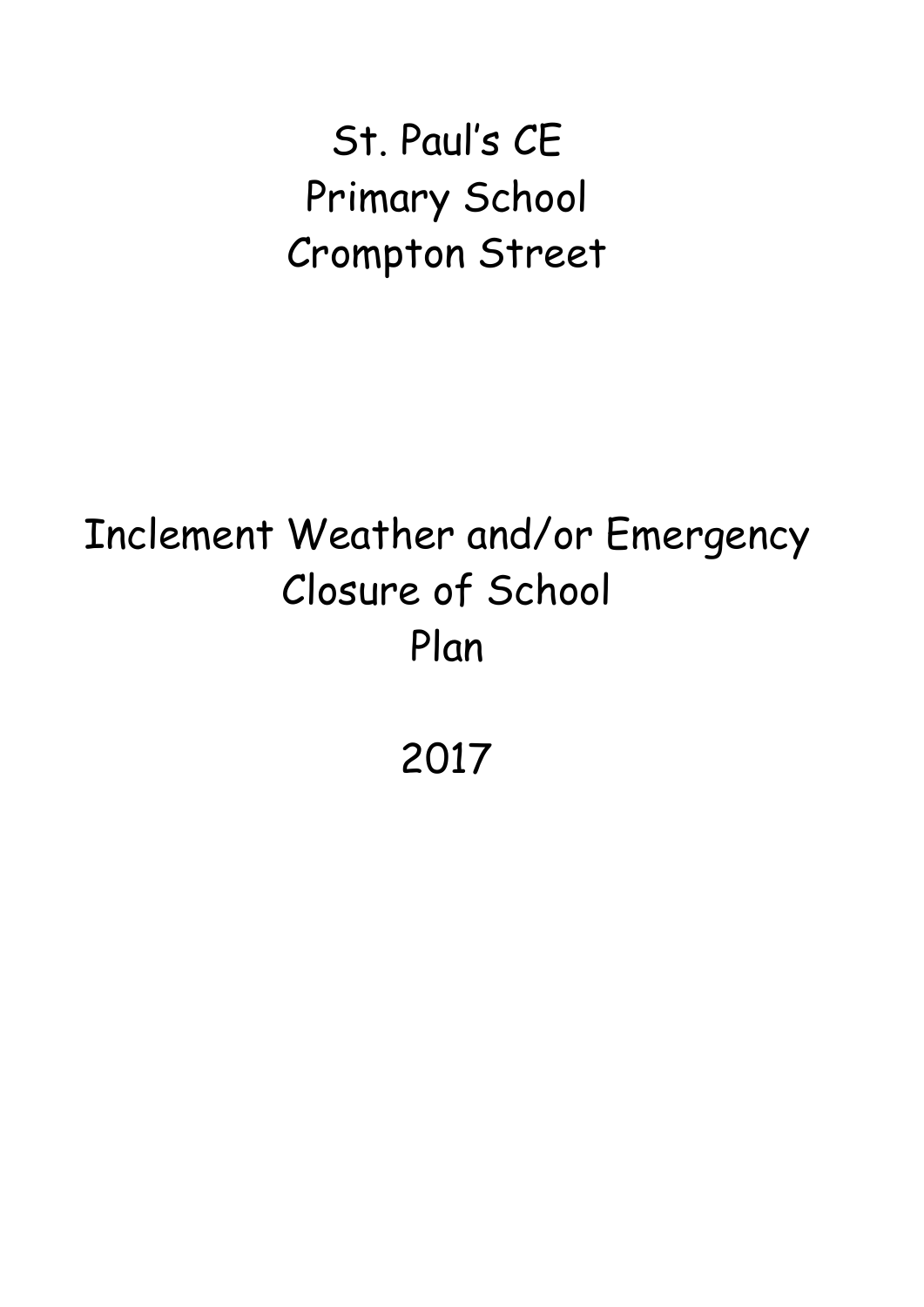St. Paul's CE Primary School Crompton Street

# Inclement Weather and/or Emergency Closure of School Plan

2017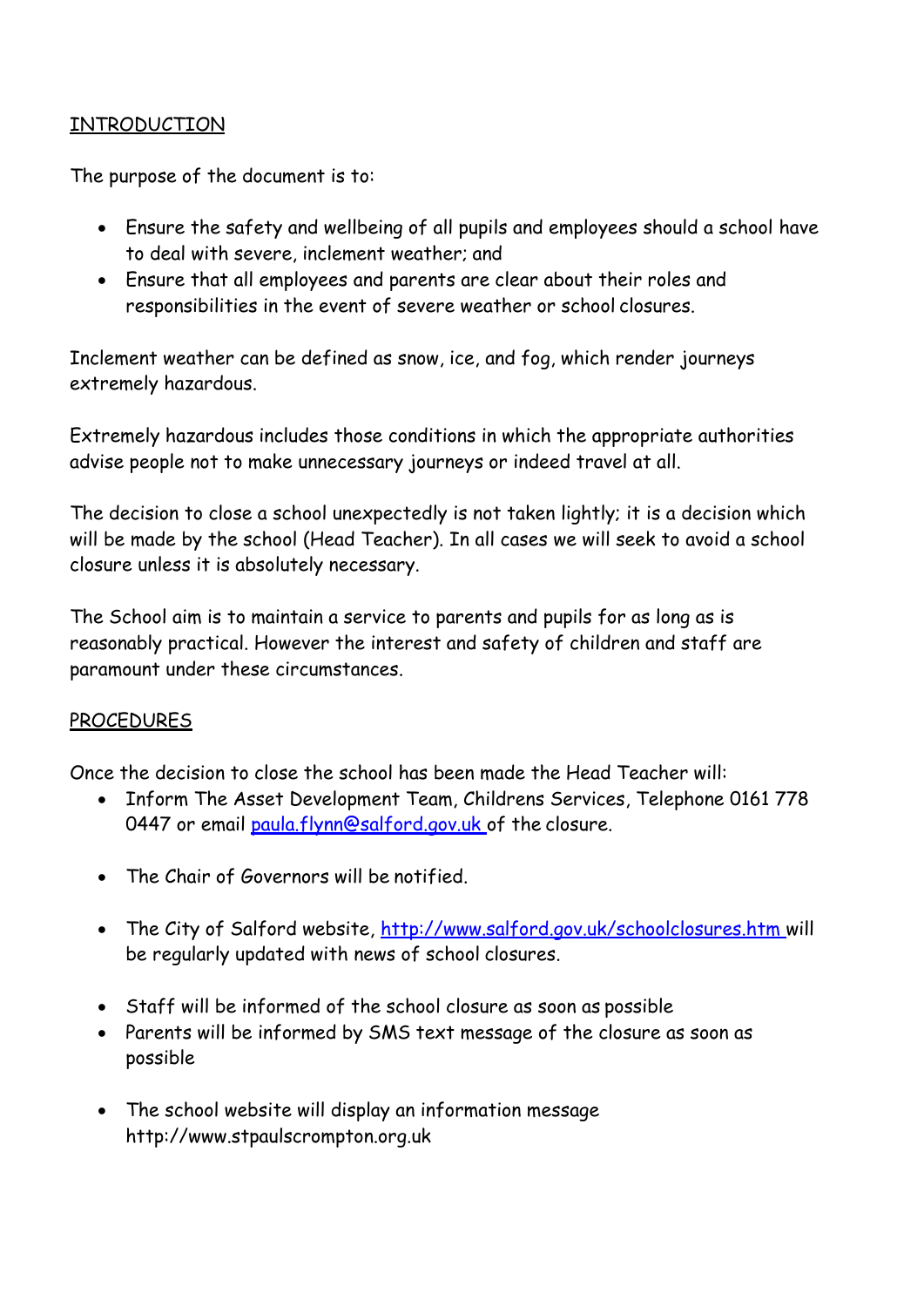# INTRODUCTION

The purpose of the document is to:

- Ensure the safety and wellbeing of all pupils and employees should a school have to deal with severe, inclement weather; and
- Ensure that all employees and parents are clear about their roles and responsibilities in the event of severe weather or school closures.

Inclement weather can be defined as snow, ice, and fog, which render journeys extremely hazardous.

Extremely hazardous includes those conditions in which the appropriate authorities advise people not to make unnecessary journeys or indeed travel at all.

The decision to close a school unexpectedly is not taken lightly; it is a decision which will be made by the school (Head Teacher). In all cases we will seek to avoid a school closure unless it is absolutely necessary.

The School aim is to maintain a service to parents and pupils for as long as is reasonably practical. However the interest and safety of children and staff are paramount under these circumstances.

# **PROCEDURES**

Once the decision to close the school has been made the Head Teacher will:

- Inform The Asset Development Team, Childrens Services, Telephone 0161 778 0447 or email [paula.flynn@salford.gov.uk o](mailto:paula.flynn@salford.gov.uk)f the closure.
- The Chair of Governors will be notified.
- The City of Salford website, [http://www.salford.gov.uk/schoolclosures.htm w](http://www.salford.gov.uk/schoolclosures.htm)ill be regularly updated with news of school closures.
- Staff will be informed of the school closure as soon as possible
- Parents will be informed by SMS text message of the closure as soon as possible
- The school website will display an information message [http://www.stpaulscrompton.org.uk](http://www.stpaulscrompton.org.uk/)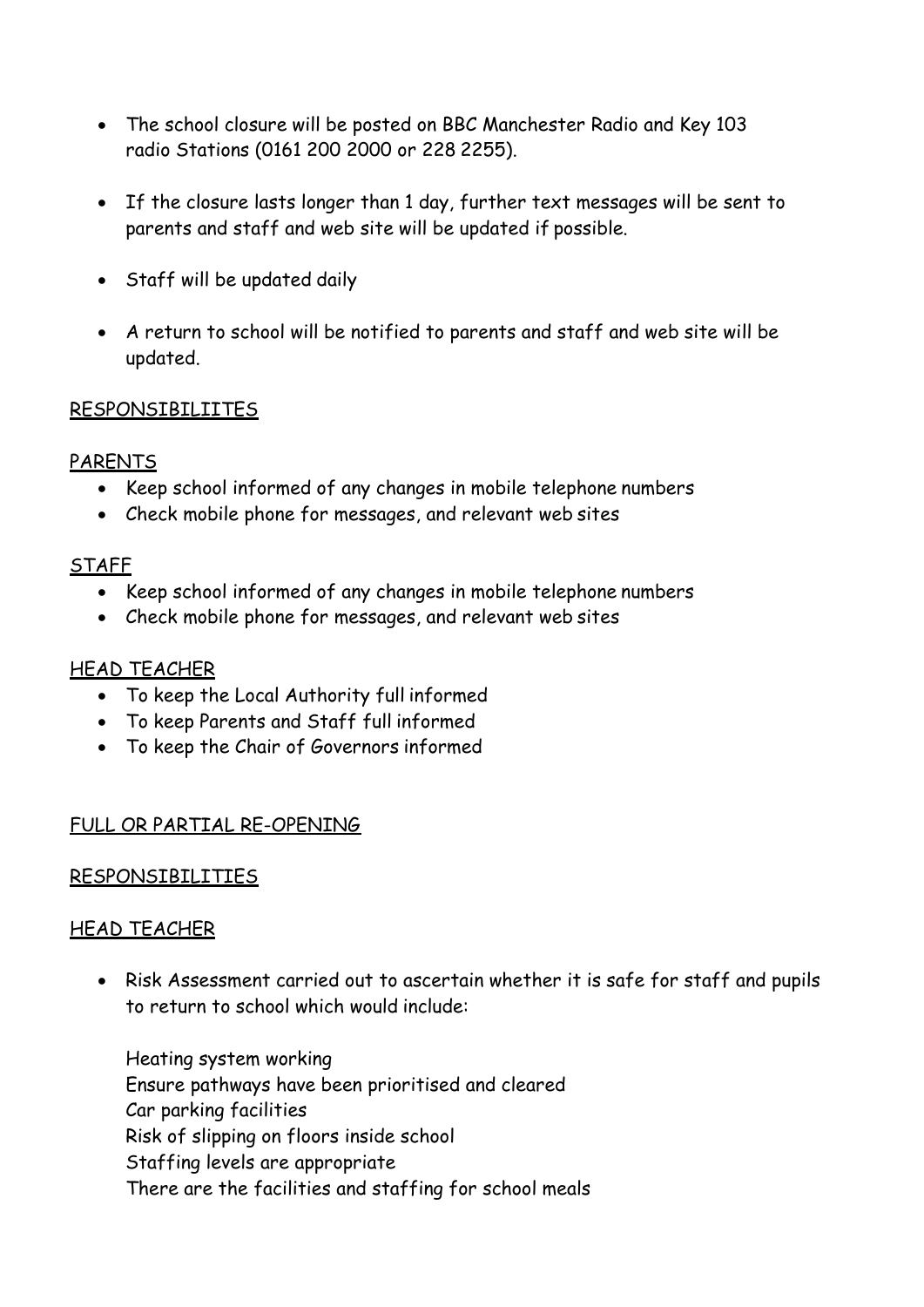- The school closure will be posted on BBC Manchester Radio and Key 103 radio Stations (0161 200 2000 or 228 2255).
- If the closure lasts longer than 1 day, further text messages will be sent to parents and staff and web site will be updated if possible.
- Staff will be updated daily
- A return to school will be notified to parents and staff and web site will be updated.

#### RESPONSIBILIITES

#### PARENTS

- Keep school informed of any changes in mobile telephone numbers
- Check mobile phone for messages, and relevant web sites

#### **STAFF**

- Keep school informed of any changes in mobile telephone numbers
- Check mobile phone for messages, and relevant web sites

# HEAD TEACHER

- To keep the Local Authority full informed
- To keep Parents and Staff full informed
- To keep the Chair of Governors informed

# FULL OR PARTIAL RE-OPENING

# RESPONSIBILITIES

# HEAD TEACHER

• Risk Assessment carried out to ascertain whether it is safe for staff and pupils to return to school which would include:

Heating system working Ensure pathways have been prioritised and cleared Car parking facilities Risk of slipping on floors inside school Staffing levels are appropriate There are the facilities and staffing for school meals